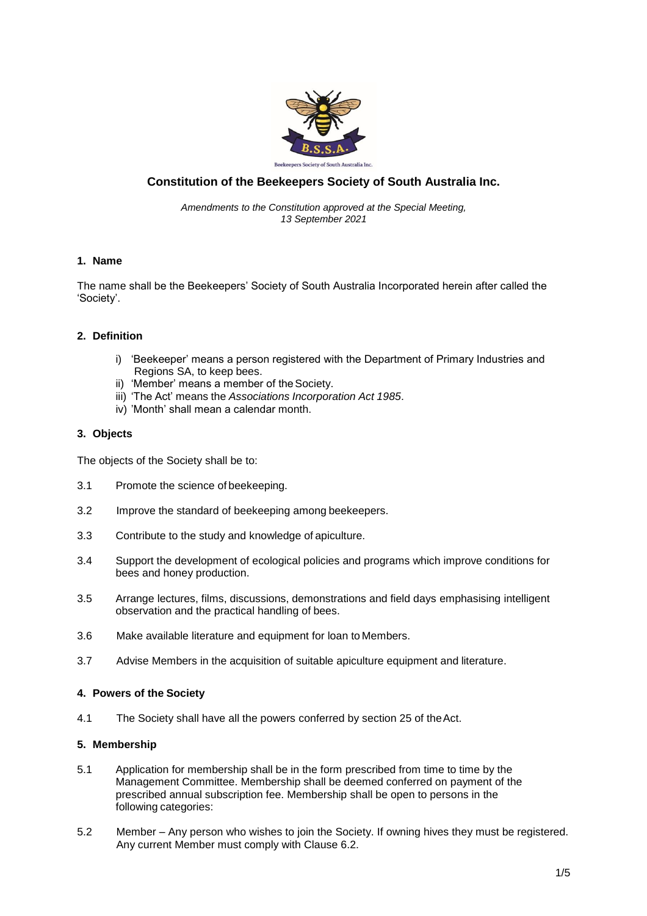

# **Constitution of the Beekeepers Society of South Australia Inc.**

*Amendments to the Constitution approved at the Special Meeting, 13 September 2021*

## **1. Name**

The name shall be the Beekeepers' Society of South Australia Incorporated herein after called the 'Society'.

### **2. Definition**

- i) 'Beekeeper' means a person registered with the Department of Primary Industries and Regions SA, to keep bees.
- ii) 'Member' means a member of the Society.
- iii) 'The Act' means the *Associations Incorporation Act 1985*.
- iv) 'Month' shall mean a calendar month.

## **3. Objects**

The objects of the Society shall be to:

- 3.1 Promote the science of beekeeping.
- 3.2 Improve the standard of beekeeping among beekeepers.
- 3.3 Contribute to the study and knowledge of apiculture.
- 3.4 Support the development of ecological policies and programs which improve conditions for bees and honey production.
- 3.5 Arrange lectures, films, discussions, demonstrations and field days emphasising intelligent observation and the practical handling of bees.
- 3.6 Make available literature and equipment for loan to Members.
- 3.7 Advise Members in the acquisition of suitable apiculture equipment and literature.

#### **4. Powers of the Society**

4.1 The Society shall have all the powers conferred by section 25 of theAct.

#### **5. Membership**

- 5.1 Application for membership shall be in the form prescribed from time to time by the Management Committee. Membership shall be deemed conferred on payment of the prescribed annual subscription fee. Membership shall be open to persons in the following categories:
- 5.2 Member Any person who wishes to join the Society. If owning hives they must be registered. Any current Member must comply with Clause 6.2.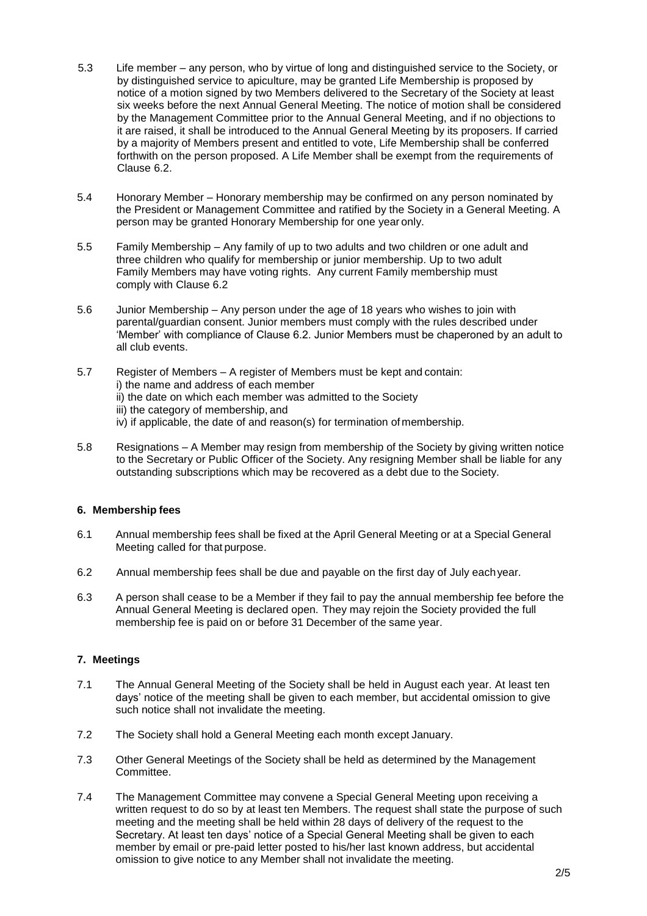- 5.3 Life member any person, who by virtue of long and distinguished service to the Society, or by distinguished service to apiculture, may be granted Life Membership is proposed by notice of a motion signed by two Members delivered to the Secretary of the Society at least six weeks before the next Annual General Meeting. The notice of motion shall be considered by the Management Committee prior to the Annual General Meeting, and if no objections to it are raised, it shall be introduced to the Annual General Meeting by its proposers. If carried by a majority of Members present and entitled to vote, Life Membership shall be conferred forthwith on the person proposed. A Life Member shall be exempt from the requirements of Clause 6.2.
- 5.4 Honorary Member Honorary membership may be confirmed on any person nominated by the President or Management Committee and ratified by the Society in a General Meeting. A person may be granted Honorary Membership for one year only.
- 5.5 Family Membership Any family of up to two adults and two children or one adult and three children who qualify for membership or junior membership. Up to two adult Family Members may have voting rights. Any current Family membership must comply with Clause 6.2
- 5.6 Junior Membership Any person under the age of 18 years who wishes to join with parental/guardian consent. Junior members must comply with the rules described under 'Member' with compliance of Clause 6.2. Junior Members must be chaperoned by an adult to all club events.
- 5.7 Register of Members A register of Members must be kept and contain: i) the name and address of each member ii) the date on which each member was admitted to the Society iii) the category of membership, and iv) if applicable, the date of and reason(s) for termination ofmembership.
- 5.8 Resignations A Member may resign from membership of the Society by giving written notice to the Secretary or Public Officer of the Society. Any resigning Member shall be liable for any outstanding subscriptions which may be recovered as a debt due to the Society.

## **6. Membership fees**

- 6.1 Annual membership fees shall be fixed at the April General Meeting or at a Special General Meeting called for that purpose.
- 6.2 Annual membership fees shall be due and payable on the first day of July eachyear.
- 6.3 A person shall cease to be a Member if they fail to pay the annual membership fee before the Annual General Meeting is declared open. They may rejoin the Society provided the full membership fee is paid on or before 31 December of the same year.

## **7. Meetings**

- 7.1 The Annual General Meeting of the Society shall be held in August each year. At least ten days' notice of the meeting shall be given to each member, but accidental omission to give such notice shall not invalidate the meeting.
- 7.2 The Society shall hold a General Meeting each month except January.
- 7.3 Other General Meetings of the Society shall be held as determined by the Management Committee.
- 7.4 The Management Committee may convene a Special General Meeting upon receiving a written request to do so by at least ten Members. The request shall state the purpose of such meeting and the meeting shall be held within 28 days of delivery of the request to the Secretary. At least ten days' notice of a Special General Meeting shall be given to each member by email or pre-paid letter posted to his/her last known address, but accidental omission to give notice to any Member shall not invalidate the meeting.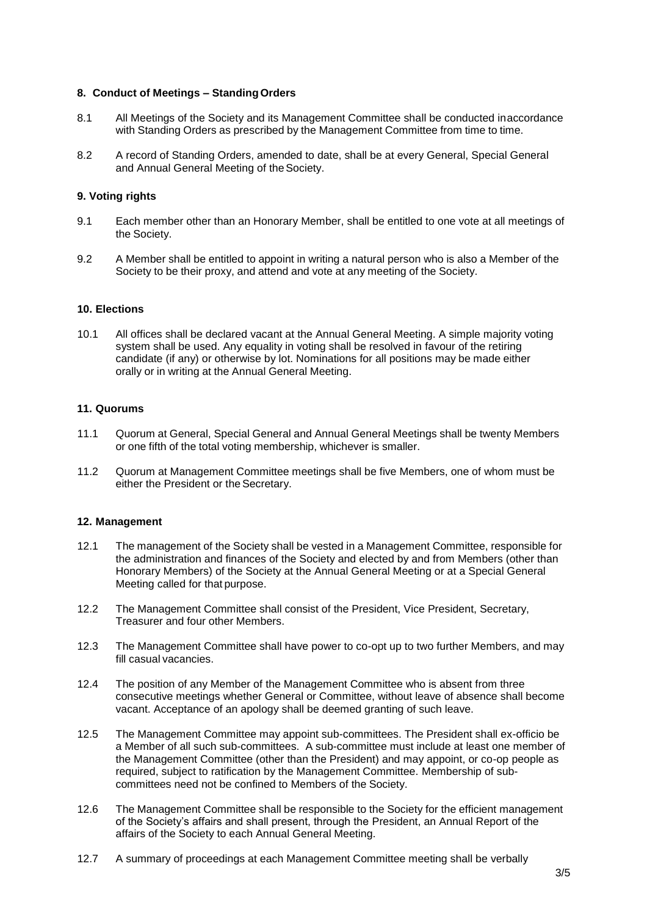### **8. Conduct of Meetings – StandingOrders**

- 8.1 All Meetings of the Society and its Management Committee shall be conducted inaccordance with Standing Orders as prescribed by the Management Committee from time to time.
- 8.2 A record of Standing Orders, amended to date, shall be at every General, Special General and Annual General Meeting of the Society.

## **9. Voting rights**

- 9.1 Each member other than an Honorary Member, shall be entitled to one vote at all meetings of the Society.
- 9.2 A Member shall be entitled to appoint in writing a natural person who is also a Member of the Society to be their proxy, and attend and vote at any meeting of the Society.

### **10. Elections**

10.1 All offices shall be declared vacant at the Annual General Meeting. A simple majority voting system shall be used. Any equality in voting shall be resolved in favour of the retiring candidate (if any) or otherwise by lot. Nominations for all positions may be made either orally or in writing at the Annual General Meeting.

### **11. Quorums**

- 11.1 Quorum at General, Special General and Annual General Meetings shall be twenty Members or one fifth of the total voting membership, whichever is smaller.
- 11.2 Quorum at Management Committee meetings shall be five Members, one of whom must be either the President or the Secretary.

#### **12. Management**

- 12.1 The management of the Society shall be vested in a Management Committee, responsible for the administration and finances of the Society and elected by and from Members (other than Honorary Members) of the Society at the Annual General Meeting or at a Special General Meeting called for that purpose.
- 12.2 The Management Committee shall consist of the President, Vice President, Secretary, Treasurer and four other Members.
- 12.3 The Management Committee shall have power to co-opt up to two further Members, and may fill casual vacancies.
- 12.4 The position of any Member of the Management Committee who is absent from three consecutive meetings whether General or Committee, without leave of absence shall become vacant. Acceptance of an apology shall be deemed granting of such leave.
- 12.5 The Management Committee may appoint sub-committees. The President shall ex-officio be a Member of all such sub-committees. A sub-committee must include at least one member of the Management Committee (other than the President) and may appoint, or co-op people as required, subject to ratification by the Management Committee. Membership of subcommittees need not be confined to Members of the Society.
- 12.6 The Management Committee shall be responsible to the Society for the efficient management of the Society's affairs and shall present, through the President, an Annual Report of the affairs of the Society to each Annual General Meeting.
- 12.7 A summary of proceedings at each Management Committee meeting shall be verbally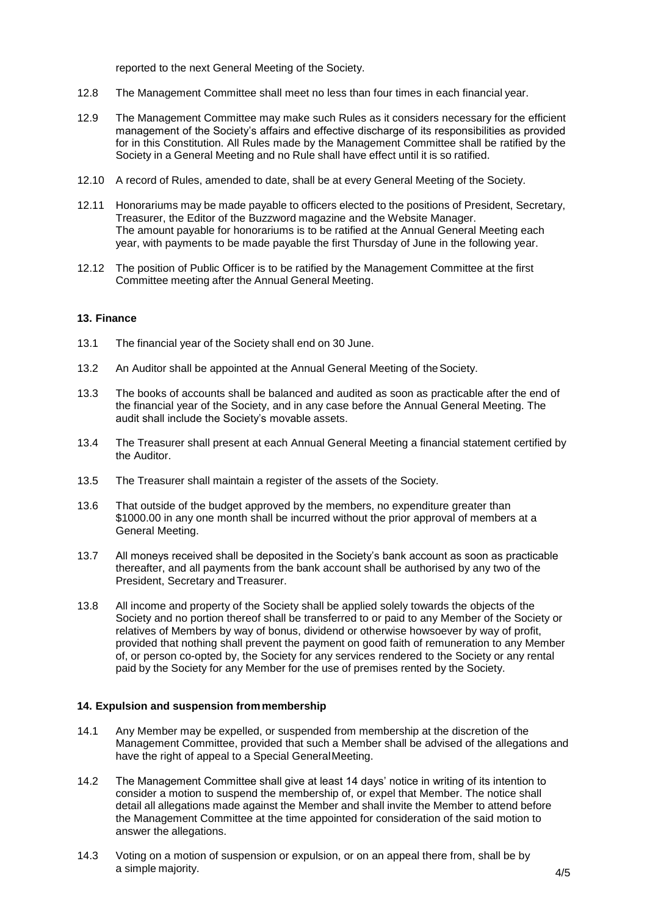reported to the next General Meeting of the Society.

- 12.8 The Management Committee shall meet no less than four times in each financial year.
- 12.9 The Management Committee may make such Rules as it considers necessary for the efficient management of the Society's affairs and effective discharge of its responsibilities as provided for in this Constitution. All Rules made by the Management Committee shall be ratified by the Society in a General Meeting and no Rule shall have effect until it is so ratified.
- 12.10 A record of Rules, amended to date, shall be at every General Meeting of the Society.
- 12.11 Honorariums may be made payable to officers elected to the positions of President, Secretary, Treasurer, the Editor of the Buzzword magazine and the Website Manager. The amount payable for honorariums is to be ratified at the Annual General Meeting each year, with payments to be made payable the first Thursday of June in the following year.
- 12.12 The position of Public Officer is to be ratified by the Management Committee at the first Committee meeting after the Annual General Meeting.

#### **13. Finance**

- 13.1 The financial year of the Society shall end on 30 June.
- 13.2 An Auditor shall be appointed at the Annual General Meeting of theSociety.
- 13.3 The books of accounts shall be balanced and audited as soon as practicable after the end of the financial year of the Society, and in any case before the Annual General Meeting. The audit shall include the Society's movable assets.
- 13.4 The Treasurer shall present at each Annual General Meeting a financial statement certified by the Auditor.
- 13.5 The Treasurer shall maintain a register of the assets of the Society.
- 13.6 That outside of the budget approved by the members, no expenditure greater than \$1000.00 in any one month shall be incurred without the prior approval of members at a General Meeting.
- 13.7 All moneys received shall be deposited in the Society's bank account as soon as practicable thereafter, and all payments from the bank account shall be authorised by any two of the President, Secretary and Treasurer.
- 13.8 All income and property of the Society shall be applied solely towards the objects of the Society and no portion thereof shall be transferred to or paid to any Member of the Society or relatives of Members by way of bonus, dividend or otherwise howsoever by way of profit, provided that nothing shall prevent the payment on good faith of remuneration to any Member of, or person co-opted by, the Society for any services rendered to the Society or any rental paid by the Society for any Member for the use of premises rented by the Society.

#### **14. Expulsion and suspension frommembership**

- 14.1 Any Member may be expelled, or suspended from membership at the discretion of the Management Committee, provided that such a Member shall be advised of the allegations and have the right of appeal to a Special GeneralMeeting.
- 14.2 The Management Committee shall give at least 14 days' notice in writing of its intention to consider a motion to suspend the membership of, or expel that Member. The notice shall detail all allegations made against the Member and shall invite the Member to attend before the Management Committee at the time appointed for consideration of the said motion to answer the allegations.
- 14.3 Voting on a motion of suspension or expulsion, or on an appeal there from, shall be by a simple majority.